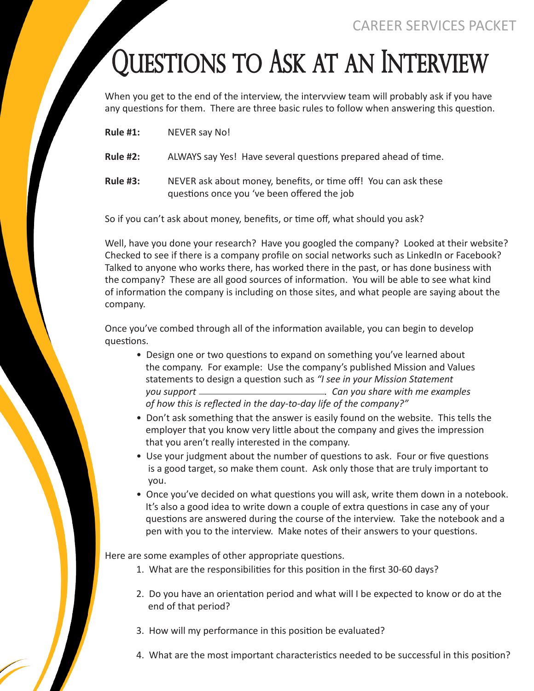## Questions to Ask at an Interview

When you get to the end of the interview, the intervview team will probably ask if you have any questions for them. There are three basic rules to follow when answering this question.

**Rule #1:** NEVER say No!

**Rule #2:** ALWAYS say Yes! Have several questions prepared ahead of time.

**Rule #3:** NEVER ask about money, benefits, or time off! You can ask these questions once you 've been offered the job

So if you can't ask about money, benefits, or time off, what should you ask?

Well, have you done your research? Have you googled the company? Looked at their website? Checked to see if there is a company profile on social networks such as LinkedIn or Facebook? Talked to anyone who works there, has worked there in the past, or has done business with the company? These are all good sources of information. You will be able to see what kind of information the company is including on those sites, and what people are saying about the company.

Once you've combed through all of the information available, you can begin to develop questions.

- Design one or two questions to expand on something you've learned about the company. For example: Use the company's published Mission and Values statements to design a question such as *"I see in your Mission Statement you support . Can you share with me examples of how this is reflected in the day-to-day life of the company?"*
- Don't ask something that the answer is easily found on the website. This tells the employer that you know very little about the company and gives the impression that you aren't really interested in the company.
- Use your judgment about the number of questions to ask. Four or five questions is a good target, so make them count. Ask only those that are truly important to you.
- Once you've decided on what questions you will ask, write them down in a notebook. It's also a good idea to write down a couple of extra questions in case any of your questions are answered during the course of the interview. Take the notebook and a pen with you to the interview. Make notes of their answers to your questions.

Here are some examples of other appropriate questions.

- 1. What are the responsibilities for this position in the first 30-60 days?
- 2. Do you have an orientation period and what will I be expected to know or do at the end of that period?
- 3. How will my performance in this position be evaluated?
- 4. What are the most important characteristics needed to be successful in this position?